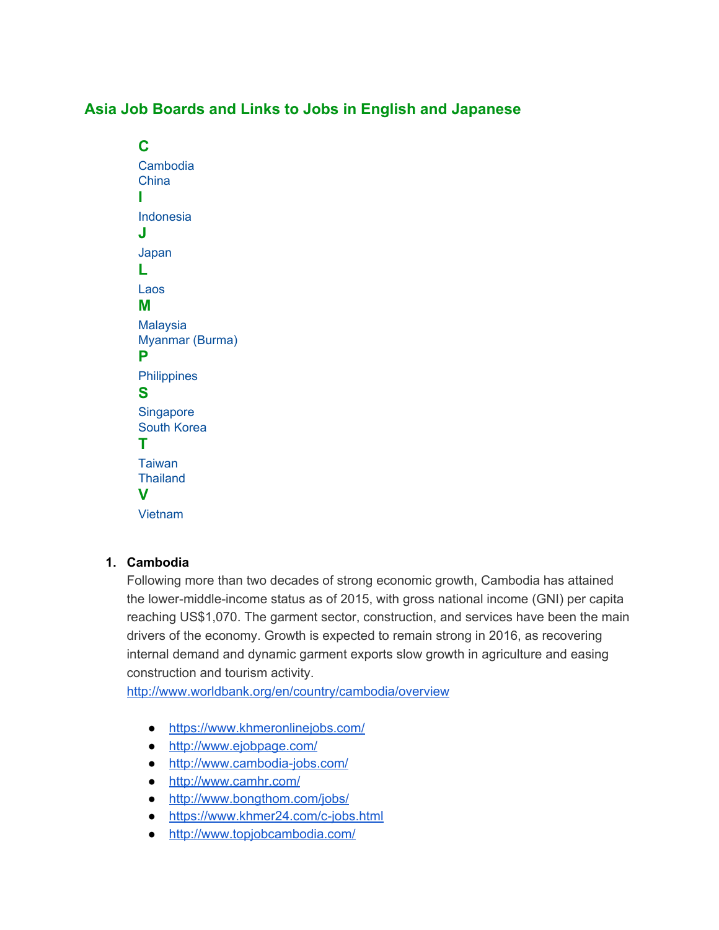# **Asia Job Boards and Links to Jobs in English and Japanese**

**C** Cambodia China **I** Indonesia **J** Japan **L** Laos **M** Malaysia Myanmar (Burma) **P Philippines S Singapore** South Korea **T** Taiwan **Thailand V** Vietnam

### **1. Cambodia**

Following more than two decades of strong economic growth, Cambodia has attained the lower-middle-income status as of 2015, with gross national income (GNI) per capita reaching US\$1,070. The garment sector, construction, and services have been the main drivers of the economy. Growth is expected to remain strong in 2016, as recovering internal demand and dynamic garment exports slow growth in agriculture and easing construction and tourism activity.

<http://www.worldbank.org/en/country/cambodia/overview>

- <https://www.khmeronlinejobs.com/>
- <http://www.ejobpage.com/>
- <http://www.cambodia-jobs.com/>
- <http://www.camhr.com/>
- <http://www.bongthom.com/jobs/>
- <https://www.khmer24.com/c-jobs.html>
- <http://www.topjobcambodia.com/>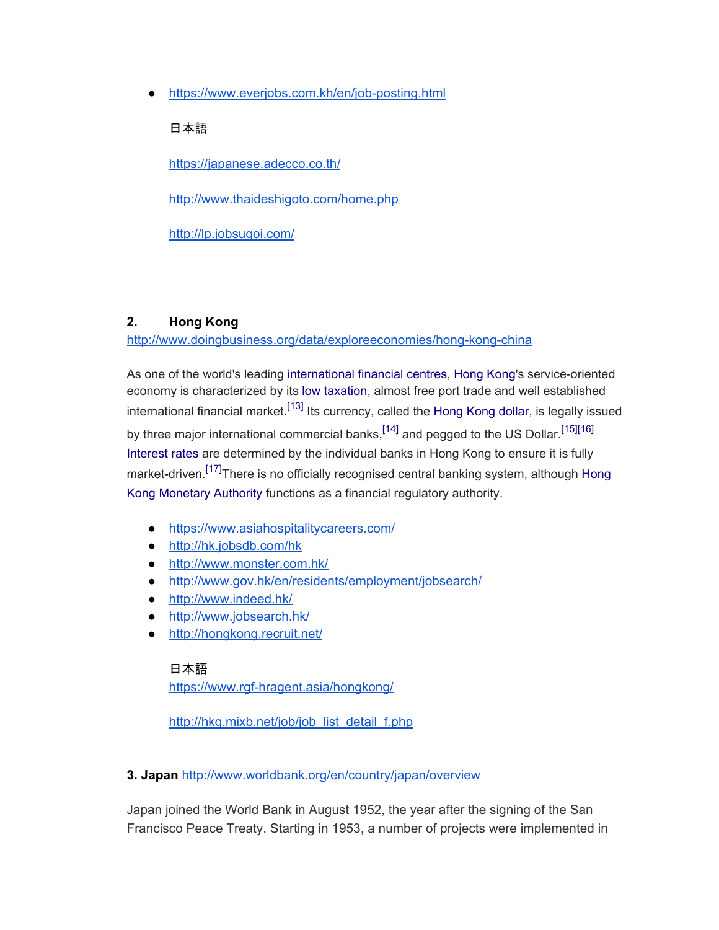● <https://www.everjobs.com.kh/en/job-posting.html>

### 日本語

<https://japanese.adecco.co.th/>

<http://www.thaideshigoto.com/home.php>

<http://lp.jobsugoi.com/>

### **2. Hong Kong**

<http://www.doingbusiness.org/data/exploreeconomies/hong-kong-china>

As one of the world's leading [international financial centres,](https://en.wikipedia.org/wiki/Financial_centre) [Hong Kong'](https://en.wikipedia.org/wiki/Hong_Kong)s service-oriented economy is characterized by its [low taxation,](https://en.wikipedia.org/wiki/Taxation_in_Hong_Kong) almost free port trade and well established international financial market.<sup>[\[13\]](https://en.wikipedia.org/wiki/Economy_of_Hong_Kong#cite_note-13)</sup> Its currency, called the [Hong Kong dollar,](https://en.wikipedia.org/wiki/Hong_Kong_dollar) is legally issued by three major international commercial banks.<sup>[\[14\]](https://en.wikipedia.org/wiki/Economy_of_Hong_Kong#cite_note-14)</sup> and pegged to the US Dollar.<sup>[\[15\]](https://en.wikipedia.org/wiki/Economy_of_Hong_Kong#cite_note-15)[\[16\]](https://en.wikipedia.org/wiki/Economy_of_Hong_Kong#cite_note-16)</sup> [Interest rates](https://en.wikipedia.org/wiki/Interest_rate) are determined by the individual banks in Hong Kong to ensure it is fully market-driven.<sup>[\[17\]](https://en.wikipedia.org/wiki/Economy_of_Hong_Kong#cite_note-17)</sup>There is no officially recognised central banking system, although [Hong](https://en.wikipedia.org/wiki/Hong_Kong_Monetary_Authority) [Kong Monetary Authority](https://en.wikipedia.org/wiki/Hong_Kong_Monetary_Authority) functions as a financial regulatory authority.

- <https://www.asiahospitalitycareers.com/>
- <http://hk.jobsdb.com/hk>
- <http://www.monster.com.hk/>
- <http://www.gov.hk/en/residents/employment/jobsearch/>
- <http://www.indeed.hk/>
- <http://www.jobsearch.hk/>
- <http://hongkong.recruit.net/>

## 日本語 <https://www.rgf-hragent.asia/hongkong/>

[http://hkg.mixb.net/job/job\\_list\\_detail\\_f.php](http://hkg.mixb.net/job/job_list_detail_f.php)

### **3. Japan** <http://www.worldbank.org/en/country/japan/overview>

Japan joined the World Bank in August 1952, the year after the signing of the San Francisco Peace Treaty. Starting in 1953, a number of projects were implemented in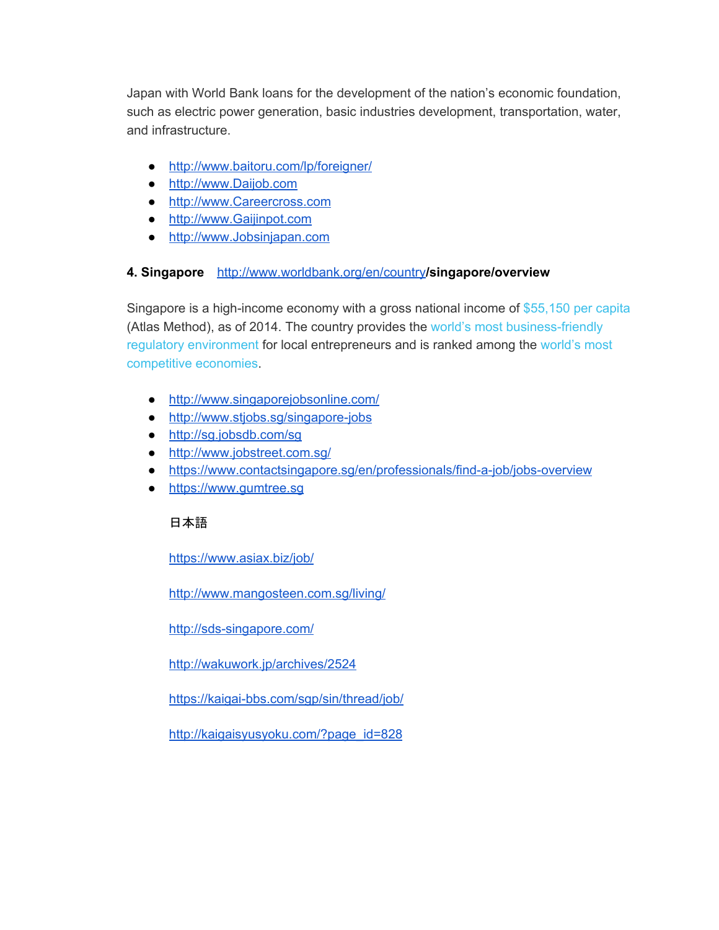Japan with World Bank loans for the development of the nation's economic foundation, such as electric power generation, basic industries development, transportation, water, and infrastructure.

- <http://www.baitoru.com/lp/foreigner/>
- [http://www.Daijob.com](http://www.daijob.com/)
- [http://www.Careercross.com](http://www.careercross.com/)
- [http://www.Gaijinpot.com](http://www.gaijinpot.com/)
- [http://www.Jobsinjapan.com](http://www.jobsinjapan.com/)

### **4. Singapore** [http://www.worldbank.org/en/country](http://www.worldbank.org/en/country/cambodia/overview)**/singapore/overview**

Singapore is a high-income economy with a gross national income of [\\$55,150](http://data.worldbank.org/country/singapore) per capita (Atlas Method), as of 2014. The country provides the world's most [business-friendly](http://www.worldbank.org/en/news/press-release/2013/10/28/singapore-business-friendly-economy-world-philippines-top-ten-improving-business-regulation) [regulatory environment](http://www.worldbank.org/en/news/press-release/2013/10/28/singapore-business-friendly-economy-world-philippines-top-ten-improving-business-regulation) for local entrepreneurs and is ranked among the [world's most](http://siteresources.worldbank.org/INTLED/Resources/339650-1194284482831/4356163-1211318886634/SingaporeProfile.pdf) [competitive economies.](http://siteresources.worldbank.org/INTLED/Resources/339650-1194284482831/4356163-1211318886634/SingaporeProfile.pdf)

- <http://www.singaporejobsonline.com/>
- <http://www.stjobs.sg/singapore-jobs>
- <http://sg.jobsdb.com/sg>
- <http://www.jobstreet.com.sg/>
- <https://www.contactsingapore.sg/en/professionals/find-a-job/jobs-overview>
- [https://www.gumtree.sg](https://www.gumtree.sg/)

### 日本語

<https://www.asiax.biz/job/>

<http://www.mangosteen.com.sg/living/>

<http://sds-singapore.com/>

<http://wakuwork.jp/archives/2524>

<https://kaigai-bbs.com/sgp/sin/thread/job/>

[http://kaigaisyusyoku.com/?page\\_id=828](http://kaigaisyusyoku.com/?page_id=828)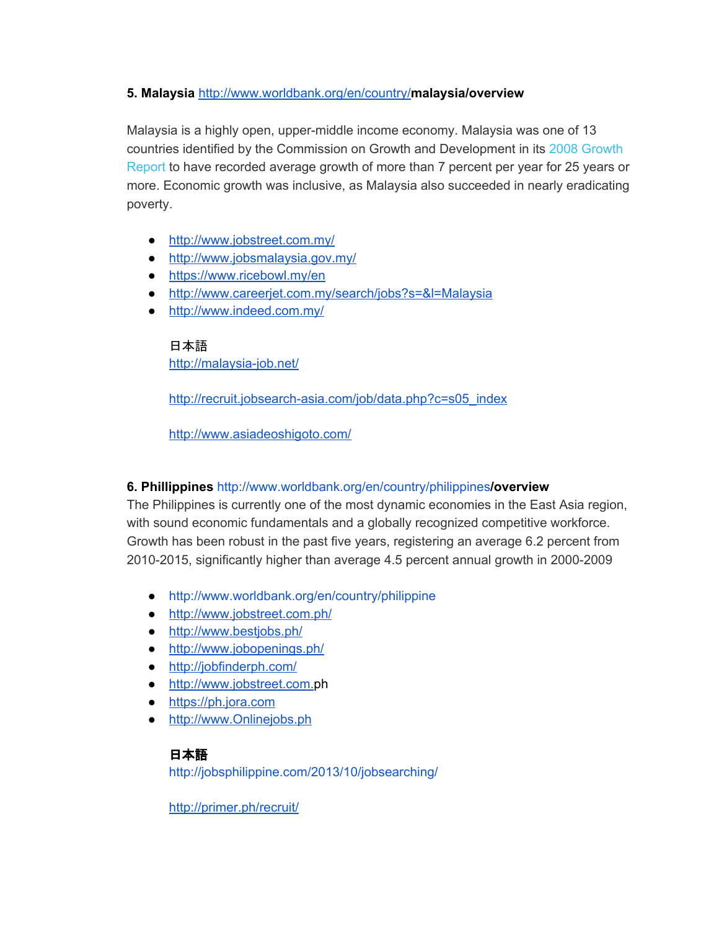### **5. Malaysia** [http://www.worldbank.org/en/country/](http://www.worldbank.org/en/country/cambodia/overview)**malaysia/overview**

Malaysia is a highly open, upper-middle income economy. Malaysia was one of 13 countries identified by the Commission on Growth and Development in its 2008 [Growth](https://openknowledge.worldbank.org/handle/10986/6507) [Report](https://openknowledge.worldbank.org/handle/10986/6507) to have recorded average growth of more than 7 percent per year for 25 years or more. Economic growth was inclusive, as Malaysia also succeeded in nearly eradicating poverty.

- <http://www.jobstreet.com.my/>
- <http://www.jobsmalaysia.gov.my/>
- <https://www.ricebowl.my/en>
- <http://www.careerjet.com.my/search/jobs?s=&l=Malaysia>
- <http://www.indeed.com.my/>

#### 日本語

<http://malaysia-job.net/>

[http://recruit.jobsearch-asia.com/job/data.php?c=s05\\_index](http://recruit.jobsearch-asia.com/job/data.php?c=s05_index)

<http://www.asiadeoshigoto.com/>

### **6. Phillippines** <http://www.worldbank.org/en/country/philippines>**/overview**

The Philippines is currently one of the most dynamic economies in the East Asia region, with sound economic fundamentals and a globally recognized competitive workforce. Growth has been robust in the past five years, registering an average 6.2 percent from 2010-2015, significantly higher than average 4.5 percent annual growth in 2000-2009

- [http://www.worldbank.org/en/country/philippine](http://www.worldbank.org/en/country/philippines)
- <http://www.jobstreet.com.ph/>
- <http://www.bestjobs.ph/>
- <http://www.jobopenings.ph/>
- <http://jobfinderph.com/>
- [http://www.jobstreet.com.ph](http://www.jobstreet.com.ph/)
- [https://ph.jora.com](https://ph.jora.com/)
- [http://www.Onlinejobs.ph](http://www.onlinejobs.ph/)

## 日本語

<http://jobsphilippine.com/2013/10/jobsearching/>

<http://primer.ph/recruit/>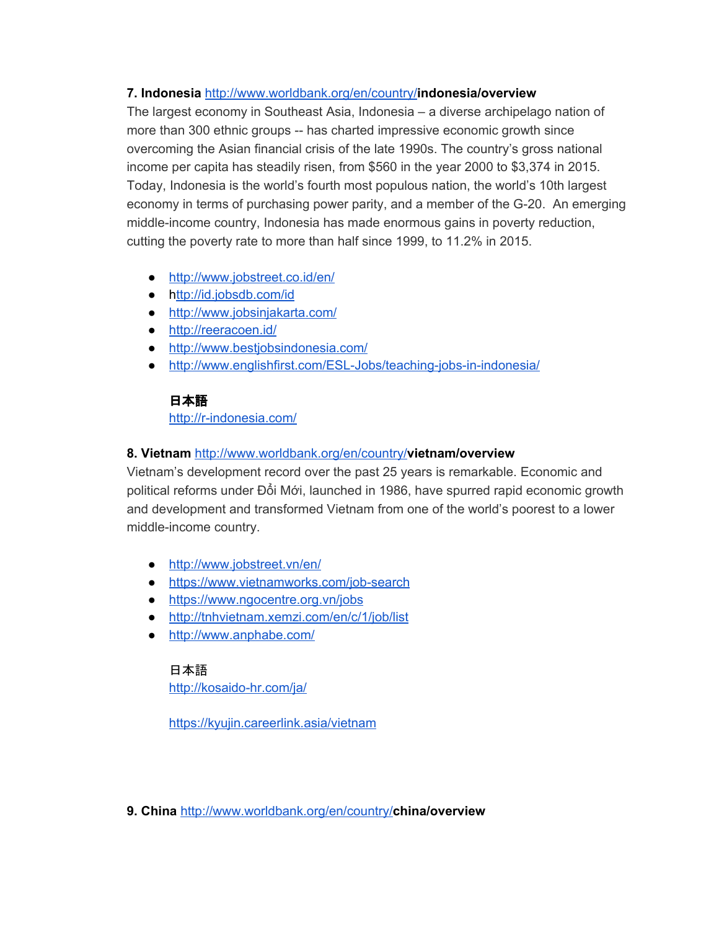### **7. Indonesia** [http://www.worldbank.org/en/country/](http://www.worldbank.org/en/country/cambodia/overview)**indonesia/overview**

The largest economy in Southeast Asia, Indonesia – a diverse archipelago nation of more than 300 ethnic groups -- has charted impressive economic growth since overcoming the Asian financial crisis of the late 1990s. The country's gross national income per capita has steadily risen, from \$560 in the year 2000 to \$3,374 in 2015. Today, Indonesia is the world's fourth most populous nation, the world's 10th largest economy in terms of purchasing power parity, and a member of the G-20. An emerging middle-income country, Indonesia has made enormous gains in poverty reduction, cutting the poverty rate to more than half since 1999, to 11.2% in 2015.

- <http://www.jobstreet.co.id/en/>
- <http://id.jobsdb.com/id>
- <http://www.jobsinjakarta.com/>
- <http://reeracoen.id/>
- <http://www.bestjobsindonesia.com/>
- <http://www.englishfirst.com/ESL-Jobs/teaching-jobs-in-indonesia/>

## 日本語

<http://r-indonesia.com/>

### **8. Vietnam** [http://www.worldbank.org/en/country/](http://www.worldbank.org/en/country/cambodia/overview)**vietnam/overview**

Vietnam's development record over the past 25 years is remarkable. Economic and political reforms under Đổi Mới, launched in 1986, have spurred rapid economic growth and development and transformed Vietnam from one of the world's poorest to a lower middle-income country.

- <http://www.jobstreet.vn/en/>
- <https://www.vietnamworks.com/job-search>
- <https://www.ngocentre.org.vn/jobs>
- <http://tnhvietnam.xemzi.com/en/c/1/job/list>
- <http://www.anphabe.com/>

### 日本語 <http://kosaido-hr.com/ja/>

<https://kyujin.careerlink.asia/vietnam>

**9. China** [http://www.worldbank.org/en/country/](http://www.worldbank.org/en/country/cambodia/overview)**china/overview**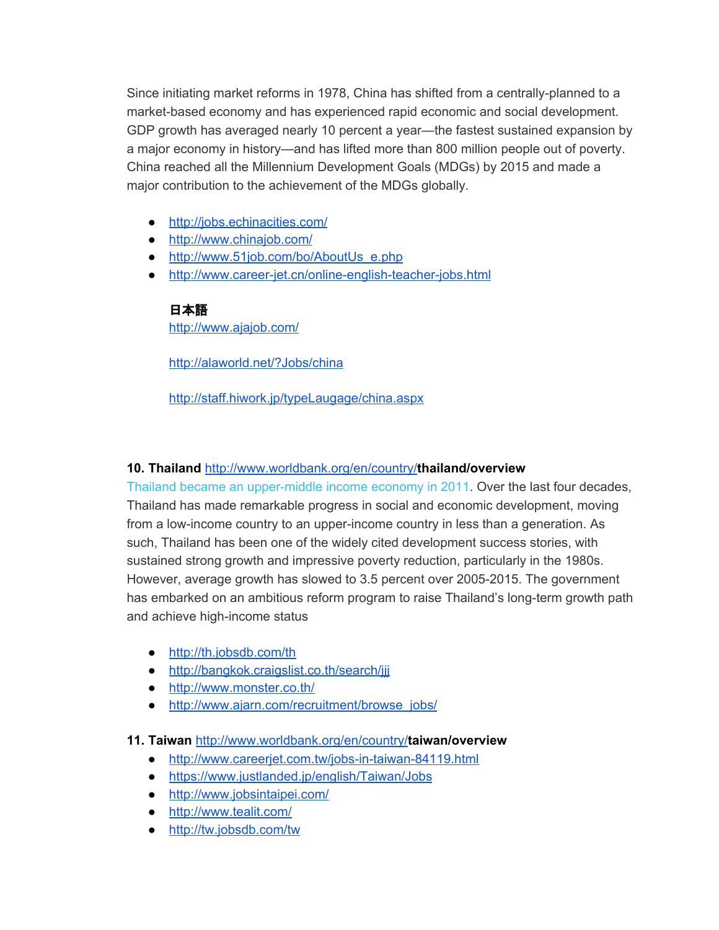Since initiating market reforms in 1978, China has shifted from a centrally-planned to a market-based economy and has experienced rapid economic and social development. GDP growth has averaged nearly 10 percent a year—the fastest sustained expansion by a major economy in history—and has lifted more than 800 million people out of poverty. China reached all the Millennium Development Goals (MDGs) by 2015 and made a major contribution to the achievement of the MDGs globally.

- <http://jobs.echinacities.com/>
- <http://www.chinajob.com/>
- [http://www.51job.com/bo/AboutUs\\_e.php](http://www.51job.com/bo/AboutUs_e.php)
- <http://www.career-jet.cn/online-english-teacher-jobs.html>

### 日本語

<http://www.ajajob.com/>

<http://alaworld.net/?Jobs/china>

<http://staff.hiwork.jp/typeLaugage/china.aspx>

### **10. Thailand** [http://www.worldbank.org/en/country/](http://www.worldbank.org/en/country/cambodia/overview)**thailand/overview**

[Thailand became](http://www.worldbank.org/en/news/press-release/2011/08/02/thailand-now-upper-middle-income-economy) an upper-middle income economy in 2011. Over the last four decades, Thailand has made remarkable progress in social and economic development, moving from a low-income country to an upper-income country in less than a generation. As such, Thailand has been one of the widely cited development success stories, with sustained strong growth and impressive poverty reduction, particularly in the 1980s. However, average growth has slowed to 3.5 percent over 2005-2015. The government has embarked on an ambitious reform program to raise Thailand's long-term growth path and achieve high-income status

- <http://th.jobsdb.com/th>
- <http://bangkok.craigslist.co.th/search/jjj>
- <http://www.monster.co.th/>
- [http://www.ajarn.com/recruitment/browse\\_jobs/](http://www.ajarn.com/recruitment/browse_jobs/)

### **11. Taiwan** [http://www.worldbank.org/en/country/](http://www.worldbank.org/en/country/cambodia/overview)**taiwan/overview**

- <http://www.careerjet.com.tw/jobs-in-taiwan-84119.html>
- <https://www.justlanded.jp/english/Taiwan/Jobs>
- <http://www.jobsintaipei.com/>
- <http://www.tealit.com/>
- <http://tw.jobsdb.com/tw>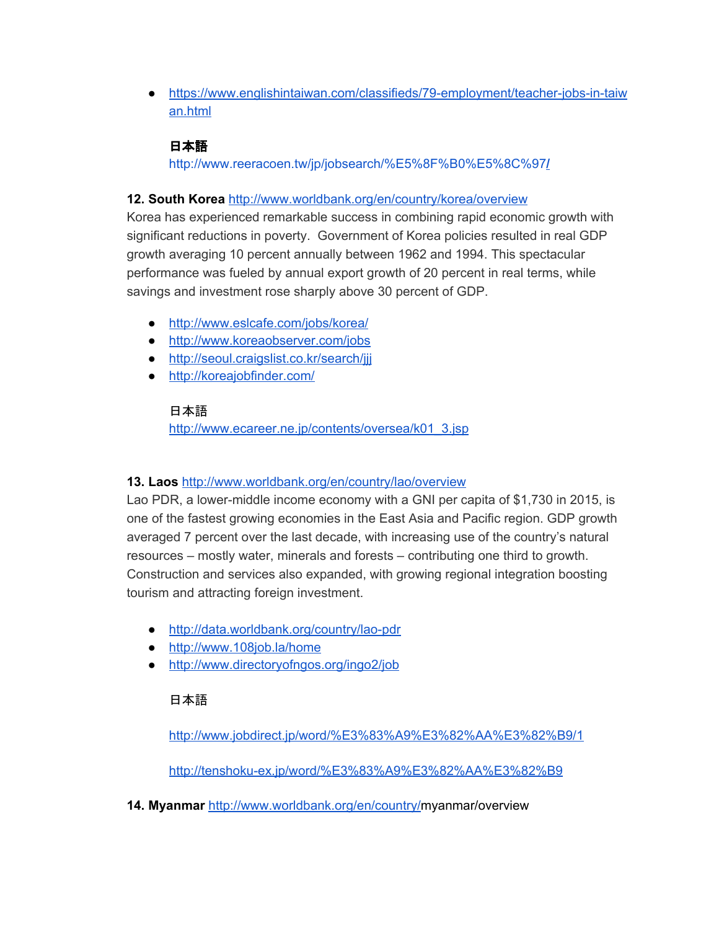● [https://www.englishintaiwan.com/classifieds/79-employment/teacher-jobs-in-taiw](https://www.englishintaiwan.com/classifieds/79-employment/teacher-jobs-in-taiwan.html) [an.html](https://www.englishintaiwan.com/classifieds/79-employment/teacher-jobs-in-taiwan.html)

# 日本語

[http://www.reeracoen.tw/jp/jobsearch/%E5%8F%B0%E5%8C%97](http://www.reeracoen.tw/jp/jobsearch/%E5%8F%B0%E5%8C%97/)**[/](http://www.reeracoen.tw/jp/jobsearch/%E5%8F%B0%E5%8C%97/)**

## **12. South Korea** <http://www.worldbank.org/en/country/korea/overview>

Korea has experienced remarkable success in combining rapid economic growth with significant reductions in poverty. Government of Korea policies resulted in real GDP growth averaging 10 percent annually between 1962 and 1994. This spectacular performance was fueled by annual export growth of 20 percent in real terms, while savings and investment rose sharply above 30 percent of GDP.

- <http://www.eslcafe.com/jobs/korea/>
- <http://www.koreaobserver.com/jobs>
- <http://seoul.craigslist.co.kr/search/jjj>
- <http://koreajobfinder.com/>

## 日本語

[http://www.ecareer.ne.jp/contents/oversea/k01\\_3.jsp](http://www.ecareer.ne.jp/contents/oversea/k01_3.jsp)

## **13. Laos** <http://www.worldbank.org/en/country/lao/overview>

Lao PDR, a lower-middle income economy with a GNI per capita of \$1,730 in 2015, is one of the fastest growing economies in the East Asia and Pacific region. GDP growth averaged 7 percent over the last decade, with increasing use of the country's natural resources – mostly water, minerals and forests – contributing one third to growth. Construction and services also expanded, with growing regional integration boosting tourism and attracting foreign investment.

- <http://data.worldbank.org/country/lao-pdr>
- <http://www.108job.la/home>
- <http://www.directoryofngos.org/ingo2/job>

## 日本語

<http://www.jobdirect.jp/word/%E3%83%A9%E3%82%AA%E3%82%B9/1>

<http://tenshoku-ex.jp/word/%E3%83%A9%E3%82%AA%E3%82%B9>

**14. Myanmar** [http://www.worldbank.org/en/country/m](http://www.worldbank.org/en/country/cambodia/overview)yanmar/overview